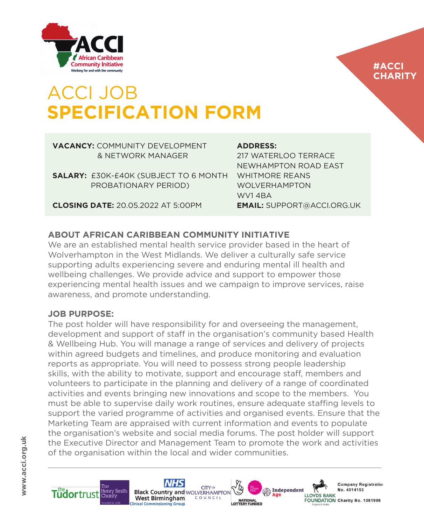

### **#ACCI CHARITY**

## ACCI JOB **SPECIFICATION FORM**

#### **VACANCY:** COMMUNITY DEVELOPMENT & NETWORK MANAGER

**SALARY:** £30K-£40K (SUBJECT TO 6 MONTH PROBATIONARY PERIOD)

**CLOSING DATE:** 20.05.2022 AT 5:00PM

### **ADDRESS:**

217 WATERLOO TERRACE NEWHAMPTON ROAD EAST WHITMORE REANS WOLVERHAMPTON WV1 4BA **EMAIL:** SUPPORT@ACCI.ORG.UK

### **ABOUT AFRICAN CARIBBEAN COMMUNITY INITIATIVE**

We are an established mental health service provider based in the heart of Wolverhampton in the West Midlands. We deliver a culturally safe service supporting adults experiencing severe and enduring mental ill health and wellbeing challenges. We provide advice and support to empower those experiencing mental health issues and we campaign to improve services, raise awareness, and promote understanding.

### **JOB PURPOSE:**

The post holder will have responsibility for and overseeing the management, development and support of staff in the organisation's community based Health & Wellbeing Hub. You will manage a range of services and delivery of projects within agreed budgets and timelines, and produce monitoring and evaluation reports as appropriate. You will need to possess strong people leadership skills, with the ability to motivate, support and encourage staff, members and volunteers to participate in the planning and delivery of a range of coordinated activities and events bringing new innovations and scope to the members. You must be able to supervise daily work routines, ensure adequate staffing levels to support the varied programme of activities and organised events. Ensure that the Marketing Team are appraised with current information and events to populate the organisation's website and social media forums. The post holder will support the Executive Director and Management Team to promote the work and activities of the organisation within the local and wider communities.